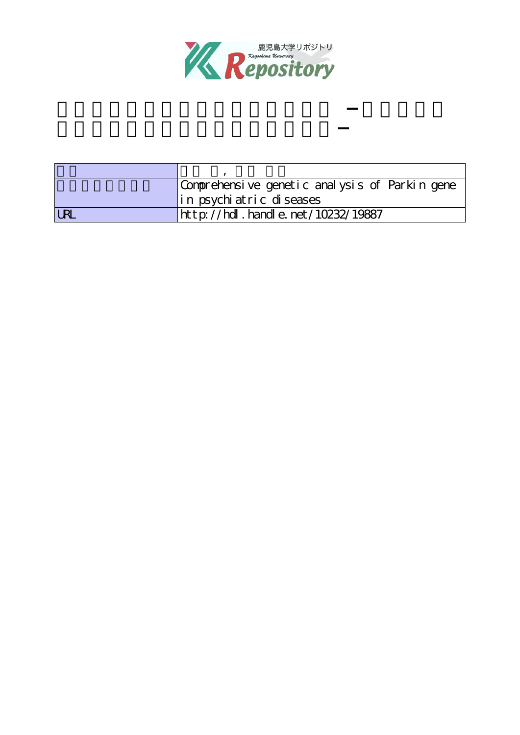

| Comprehensive genetic analysis of Parkin gene |                                        |  |  |
|-----------------------------------------------|----------------------------------------|--|--|
|                                               | in psychiatric diseases                |  |  |
| <b>LRI</b>                                    | ht t p://hdl. handl e. net/10232/19887 |  |  |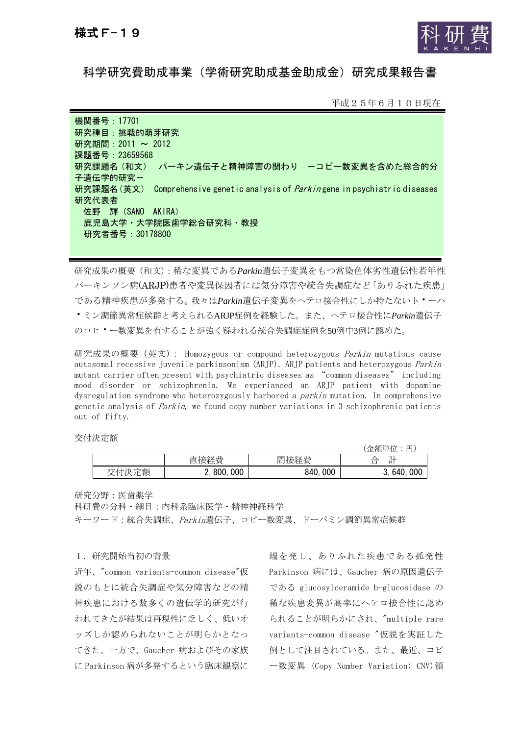

科学研究費助成事業(学術研究助成基金助成金)研究成果報告書

平成25年6月10日現在

機関番号:17701 研究種目:挑戦的萌芽研究 研究期間: 2011 ~ 2012 課題番号:23659568 研究課題名(和文) パーキン遺伝子と精神障害の関わり -コピー数変異を含めた総合的分 子遺伝学的研究ー 研究課題名(英文) Comprehensive genetic analysis of *Parkin* gene in psychiatric diseases 研究代表者 佐野 輝(SANO AKIRA) 鹿児島大学・大学院医歯学総合研究科・教授 研究者番号:30178800

研究成果の概要(和文):稀な変異である*Parkin*遺伝子変異をもつ常染色体劣性遺伝性若年性 パーキンソン病(ARJP)患者や変異保因者には気分障害や統合失調症など「ありふれた疾患」 である精神疾患が多発する。我々は*Parkin*遺伝子変異をヘテロ接合性にしか持たないトーハ ミン調節異常症候群と考えられるARJP症例を経験した。また、ヘテロ接合性に*Parkin*遺伝子 のコヒー数変異を有することが強く疑われる統合失調症症例を50例中3例に認めた。

研究成果の概要 (英文) : Homozygous or compound heterozygous *Parkin* mutations cause autosomal recessive juvenile parkinsonism (ARJP). ARJP patients and heterozygous Parkin mutant carrier often present with psychiatric diseases as "common diseases" including mood disorder or schizophrenia. We experianced an ARJP patient with dopamine dysregulation syndrome who heterozygously harbored a *parkin* mutation. In comprehensive genetic analysis of *Parkin*, we found copy number variations in 3 schizophrenic patients out of fifty.

交付決定額

|    |                        |            | (金額単位<br>ш                                              |
|----|------------------------|------------|---------------------------------------------------------|
|    | 接経費<br>宜               | 間接経費       | $\overline{\phantom{a}}$<br>E.<br>∼<br>-<br>−<br>п<br>− |
| 定額 | 000<br>800.<br><u></u> | 000<br>840 | 000<br>640<br>U.                                        |

研究分野:医歯薬学

科研費の分科・細目:内科系臨床医学・精神神経科学

キーワード:統合失調症、Parkin遺伝子、コピー数変異、ドーパミン調節異常症候群

## 1.研究開始当初の背景

近年、"common variants-common disease"仮 説のもとに統合失調症や気分障害などの精 神疾患における数多くの遺伝学的研究が行 われてきたが結果は再現性に乏しく、低いオ ッズしか認められないことが明らかとなっ てきた。一方で、Gaucher 病およびその家族 に Parkinson 病が多発するという臨床観察に

端を発し、ありふれた疾患である孤発性 Parkinson 病には、Gaucher 病の原因遺伝子 である glucosylceramide b-glucosidase の 稀な疾患変異が高率にヘテロ接合性に認め られることが明らかにされ、"multiple rare variants-common disease "仮説を実証した 例として注目されている。また、最近、コピ ー数変異 (Copy Number Variation: CNV)領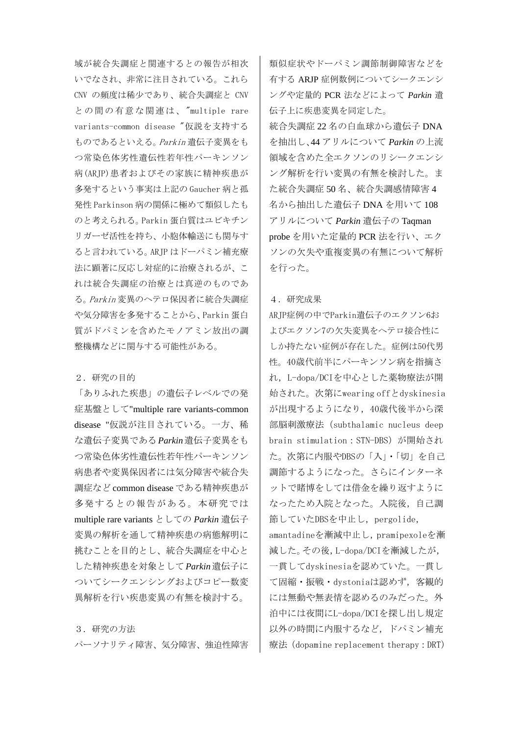域が統合失調症と関連するとの報告が相次 いでなされ、非常に注目されている。これら CNV の頻度は稀少であり、統合失調症と CNV との間の有意な関連は、 "multiple rare variants-common disease "仮説を支持する ものであるといえる。Parkin 遺伝子変異をも つ常染色体劣性遺伝性若年性パーキンソン 病(ARJP)患者およびその家族に精神疾患が 多発するという事実は上記の Gaucher 病と孤 発性 Parkinson 病の関係に極めて類似したも のと考えられる。Parkin 蛋白質はユビキチン リガーゼ活性を持ち、小胞体輸送にも関与す ると言われている。ARJP はドーパミン補充療 法に顕著に反応し対症的に治療されるが、こ れは統合失調症の治療とは真逆のものであ る。Parkin 変異のヘテロ保因者に統合失調症 や気分障害を多発することから、Parkin 蛋白 質がドパミンを含めたモノアミン放出の調 整機構などに関与する可能性がある。

## 2.研究の目的

「ありふれた疾患」の遺伝子レベルでの発 症基盤として"multiple rare variants-common disease "仮説が注目されている。一方、稀 な遺伝子変異である*Parkin*遺伝子変異をも つ常染色体劣性遺伝性若年性パーキンソン 病患者や変異保因者には気分障害や統合失 調症など common disease である精神疾患が 多発するとの報告がある。本研究では multiple rare variants としての *Parkin* 遺伝子 変異の解析を通して精神疾患の病態解明に 挑むことを目的とし、統合失調症を中心と した精神疾患を対象として*Parkin*遺伝子に ついてシークエンシングおよびコピー数変 異解析を行い疾患変異の有無を検討する。

3.研究の方法 パーソナリティ障害、気分障害、強迫性障害 類似症状やドーパミン調節制御障害などを 有する ARJP 症例数例についてシークエンシ ングや定量的 PCR 法などによって *Parkin* 遺 伝子上に疾患変異を同定した。

統合失調症 22 名の白血球から遺伝子 DNA を抽出し、44 アリルについて *Parkin* の上流 領域を含めた全エクソンのリシークエンシ ング解析を行い変異の有無を検討した。ま た統合失調症 50 名、統合失調感情障害 4 名から抽出した遺伝子 DNA を用いて 108 アリルについて *Parkin* 遺伝子の Taqman probe を用いた定量的 PCR 法を行い、エク ソンの欠失や重複変異の有無について解析 を行った。

## 4.研究成果

ARJP症例の中でParkin遺伝子のエクソン6お よびエクソン7の欠失変異をヘテロ接合性に しか持たない症例が存在した。症例は50代男 性。40歳代前半にパーキンソン病を指摘さ れ,L-dopa/DCIを中心とした薬物療法が開 始された。次第にwearing offとdyskinesia が出現するようになり,40歳代後半から深 部脳刺激療法(subthalamic nucleus deep brain stimulation:STN-DBS)が開始され た。次第に内服やDBSの「入」・「切」を自己 調節するようになった。さらにインターネ ットで賭博をしては借金を繰り返すように なったため入院となった。入院後,自己調 節していたDBSを中止し, pergolide, amantadineを漸減中止し,pramipexoleを漸 減した。その後,L-dopa/DCIを漸減したが, 一貫してdyskinesiaを認めていた。一貫し て固縮・振戦・dystoniaは認めず,客観的 には無動や無表情を認めるのみだった。外 泊中には夜間にL-dopa/DCIを探し出し規定 以外の時間に内服するなど,ドパミン補充 療法(dopamine replacement therapy:DRT)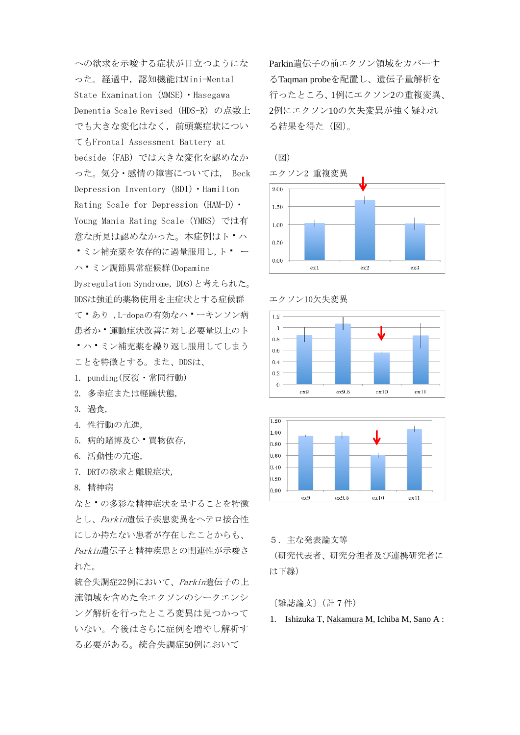への欲求を示唆する症状が目立つようにな った。経過中,認知機能はMini-Mental State Examination (MMSE) · Hasegawa Dementia Scale Revised (HDS-R) の点数上 でも大きな変化はなく,前頭葉症状につい てもFrontal Assessment Battery at bedside(FAB)では大きな変化を認めなか った。気分・感情の障害については, Beck Depression Inventory(BDI)・Hamilton Rating Scale for Depression (HAM-D) • Young Mania Rating Scale(YMRS)では有 意な所見は認めなかった。本症例はト・ハ ■ミン補充薬を依存的に過量服用し,ト■ ー ハミン調節異常症候群(Dopamine Dysregulation Syndrome, DDS)と考えられた。 DDSは強迫的薬物使用を主症状とする症候群 てあり ,L-dopaの有効なハーキンソン病 患者か ■ 運動症状改善に対し必要量以上のト ハミン補充薬を繰り返し服用してしまう ことを特徴とする。また、DDSは、 1. punding(反復・常同行動)

- 2. 多幸症または軽躁状態,
- 3. 過食,
- 4. 性行動の亢進,
- 5. 病的賭博及ひ 買物依存,
- 6. 活動性の亢進,
- 7. DRTの欲求と離脱症状,
- 8. 精神病

なと、の多彩な精神症状を呈することを特徴 とし、Parkin遺伝子疾患変異をヘテロ接合性 にしか持たない患者が存在したことからも、 Parkin遺伝子と精神疾患との関連性が示唆さ れた。

統合失調症22例において、Parkin遺伝子の上 流領域を含めた全エクソンのシークエンシ ング解析を行ったところ変異は見つかって いない。今後はさらに症例を増やし解析す る必要がある。統合失調症50例において

Parkin遺伝子の前エクソン領域をカバーす るTaqman probeを配置し、遺伝子量解析を 行ったところ、1例にエクソン2の重複変異、 2例にエクソン10の欠失変異が強く疑われ る結果を得た(図)。









5.主な発表論文等

(研究代表者、研究分担者及び連携研究者に は下線)

〔雑誌論文〕(計 7 件)

1. Ishizuka T, Nakamura M, Ichiba M, Sano A :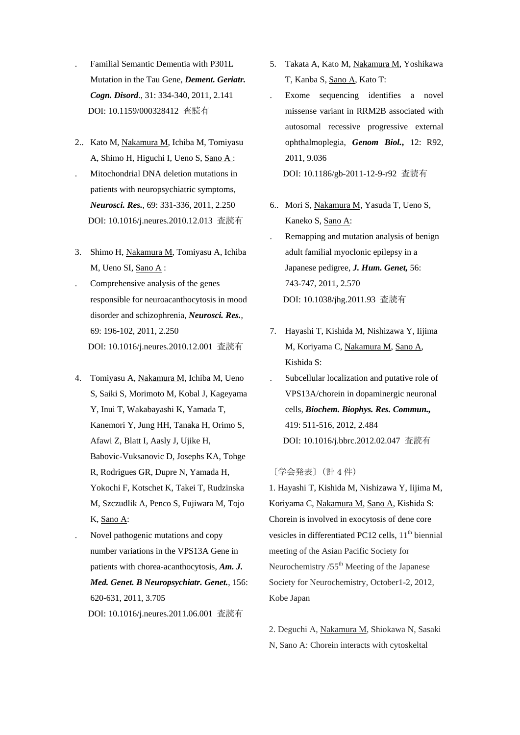- . Familial Semantic Dementia with P301L Mutation in the Tau Gene, *Dement. Geriatr. Cogn. Disord*., 31: 334-340, 2011, 2.141 DOI: 10.1159/000328412 査読有
- 2.. Kato M, Nakamura M, Ichiba M, Tomiyasu A, Shimo H, Higuchi I, Ueno S, Sano A :
- . Mitochondrial DNA deletion mutations in patients with neuropsychiatric symptoms, *Neurosci. Res.,* 69: 331-336, 2011, 2.250 DOI: 10.1016/j.neures.2010.12.013 査読有
- 3. Shimo H, Nakamura M, Tomiyasu A, Ichiba M, Ueno SI, Sano A :
- . Comprehensive analysis of the genes responsible for neuroacanthocytosis in mood disorder and schizophrenia, *Neurosci. Res.*, 69: 196-102, 2011, 2.250 DOI: 10.1016/j.neures.2010.12.001 査読有
- 4. Tomiyasu A, Nakamura M, Ichiba M, Ueno S, Saiki S, Morimoto M, Kobal J, Kageyama Y, Inui T, Wakabayashi K, Yamada T, Kanemori Y, Jung HH, Tanaka H, Orimo S, Afawi Z, Blatt I, Aasly J, Ujike H, Babovic-Vuksanovic D, Josephs KA, Tohge R, Rodrigues GR, Dupre N, Yamada H, Yokochi F, Kotschet K, Takei T, Rudzinska M, Szczudlik A, Penco S, Fujiwara M, Tojo K, Sano A:
- . Novel pathogenic mutations and copy number variations in the VPS13A Gene in patients with chorea-acanthocytosis, *Am. J. Med. Genet. B Neuropsychiatr. Genet.*, 156: 620-631, 2011, 3.705 DOI: 10.1016/j.neures.2011.06.001 査読有
- 5. Takata A, Kato M, Nakamura M, Yoshikawa T, Kanba S, Sano A, Kato T:
- . Exome sequencing identifies a novel missense variant in RRM2B associated with autosomal recessive progressive external ophthalmoplegia, *Genom Biol.***,** 12: R92, 2011, 9.036 DOI: 10.1186/gb-2011-12-9-r92 査読有
- 6.. Mori S, Nakamura M, Yasuda T, Ueno S, Kaneko S, Sano A:
- . Remapping and mutation analysis of benign adult familial myoclonic epilepsy in a Japanese pedigree, *J. Hum. Genet,* 56: 743-747, 2011, 2.570 DOI: 10.1038/jhg.2011.93 査読有
- 7. Hayashi T, Kishida M, Nishizawa Y, Iijima M, Koriyama C, Nakamura M, Sano A, Kishida S:
- . Subcellular localization and putative role of VPS13A/chorein in dopaminergic neuronal cells, *Biochem. Biophys. Res. Commun.,* 419: 511-516, 2012, 2.484 DOI: 10.1016/j.bbrc.2012.02.047 査読有

〔学会発表〕(計 4 件)

1. Hayashi T, Kishida M, Nishizawa Y, Iijima M, Koriyama C, Nakamura M, Sano A, Kishida S: Chorein is involved in exocytosis of dene core vesicles in differentiated PC12 cells,  $11<sup>th</sup>$  biennial meeting of the Asian Pacific Society for Neurochemistry  $/55<sup>th</sup>$  Meeting of the Japanese Society for Neurochemistry, October1-2, 2012, Kobe Japan

2. Deguchi A, Nakamura M, Shiokawa N, Sasaki N, Sano A: Chorein interacts with cytoskeltal